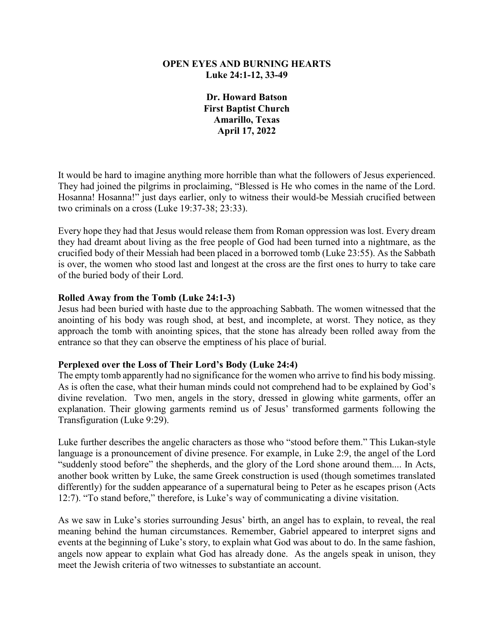## **OPEN EYES AND BURNING HEARTS Luke 24:1-12, 33-49**

**Dr. Howard Batson First Baptist Church Amarillo, Texas April 17, 2022**

It would be hard to imagine anything more horrible than what the followers of Jesus experienced. They had joined the pilgrims in proclaiming, "Blessed is He who comes in the name of the Lord. Hosanna! Hosanna!" just days earlier, only to witness their would-be Messiah crucified between two criminals on a cross (Luke 19:37-38; 23:33).

Every hope they had that Jesus would release them from Roman oppression was lost. Every dream they had dreamt about living as the free people of God had been turned into a nightmare, as the crucified body of their Messiah had been placed in a borrowed tomb (Luke 23:55). As the Sabbath is over, the women who stood last and longest at the cross are the first ones to hurry to take care of the buried body of their Lord.

## **Rolled Away from the Tomb (Luke 24:1-3)**

Jesus had been buried with haste due to the approaching Sabbath. The women witnessed that the anointing of his body was rough shod, at best, and incomplete, at worst. They notice, as they approach the tomb with anointing spices, that the stone has already been rolled away from the entrance so that they can observe the emptiness of his place of burial.

## **Perplexed over the Loss of Their Lord's Body (Luke 24:4)**

The empty tomb apparently had no significance for the women who arrive to find his body missing. As is often the case, what their human minds could not comprehend had to be explained by God's divine revelation. Two men, angels in the story, dressed in glowing white garments, offer an explanation. Their glowing garments remind us of Jesus' transformed garments following the Transfiguration (Luke 9:29).

Luke further describes the angelic characters as those who "stood before them." This Lukan-style language is a pronouncement of divine presence. For example, in Luke 2:9, the angel of the Lord "suddenly stood before" the shepherds, and the glory of the Lord shone around them.... In Acts, another book written by Luke, the same Greek construction is used (though sometimes translated differently) for the sudden appearance of a supernatural being to Peter as he escapes prison (Acts 12:7). "To stand before," therefore, is Luke's way of communicating a divine visitation.

As we saw in Luke's stories surrounding Jesus' birth, an angel has to explain, to reveal, the real meaning behind the human circumstances. Remember, Gabriel appeared to interpret signs and events at the beginning of Luke's story, to explain what God was about to do. In the same fashion, angels now appear to explain what God has already done. As the angels speak in unison, they meet the Jewish criteria of two witnesses to substantiate an account.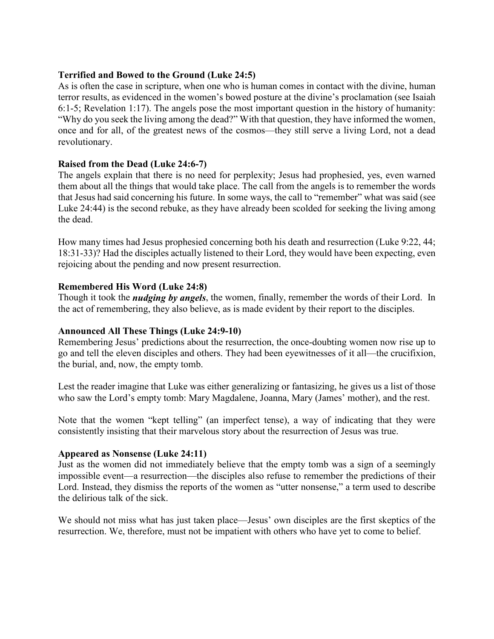## **Terrified and Bowed to the Ground (Luke 24:5)**

As is often the case in scripture, when one who is human comes in contact with the divine, human terror results, as evidenced in the women's bowed posture at the divine's proclamation (see Isaiah 6:1-5; Revelation 1:17). The angels pose the most important question in the history of humanity: "Why do you seek the living among the dead?" With that question, they have informed the women, once and for all, of the greatest news of the cosmos—they still serve a living Lord, not a dead revolutionary.

# **Raised from the Dead (Luke 24:6-7)**

The angels explain that there is no need for perplexity; Jesus had prophesied, yes, even warned them about all the things that would take place. The call from the angels is to remember the words that Jesus had said concerning his future. In some ways, the call to "remember" what was said (see Luke 24:44) is the second rebuke, as they have already been scolded for seeking the living among the dead.

How many times had Jesus prophesied concerning both his death and resurrection (Luke 9:22, 44; 18:31-33)? Had the disciples actually listened to their Lord, they would have been expecting, even rejoicing about the pending and now present resurrection.

# **Remembered His Word (Luke 24:8)**

Though it took the *nudging by angels*, the women, finally, remember the words of their Lord. In the act of remembering, they also believe, as is made evident by their report to the disciples.

## **Announced All These Things (Luke 24:9-10)**

Remembering Jesus' predictions about the resurrection, the once-doubting women now rise up to go and tell the eleven disciples and others. They had been eyewitnesses of it all—the crucifixion, the burial, and, now, the empty tomb.

Lest the reader imagine that Luke was either generalizing or fantasizing, he gives us a list of those who saw the Lord's empty tomb: Mary Magdalene, Joanna, Mary (James' mother), and the rest.

Note that the women "kept telling" (an imperfect tense), a way of indicating that they were consistently insisting that their marvelous story about the resurrection of Jesus was true.

## **Appeared as Nonsense (Luke 24:11)**

Just as the women did not immediately believe that the empty tomb was a sign of a seemingly impossible event—a resurrection—the disciples also refuse to remember the predictions of their Lord. Instead, they dismiss the reports of the women as "utter nonsense," a term used to describe the delirious talk of the sick.

We should not miss what has just taken place—Jesus' own disciples are the first skeptics of the resurrection. We, therefore, must not be impatient with others who have yet to come to belief.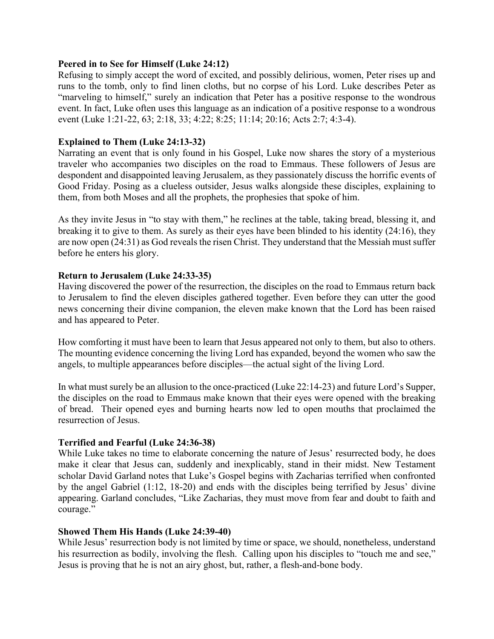#### **Peered in to See for Himself (Luke 24:12)**

Refusing to simply accept the word of excited, and possibly delirious, women, Peter rises up and runs to the tomb, only to find linen cloths, but no corpse of his Lord. Luke describes Peter as "marveling to himself," surely an indication that Peter has a positive response to the wondrous event. In fact, Luke often uses this language as an indication of a positive response to a wondrous event (Luke 1:21-22, 63; 2:18, 33; 4:22; 8:25; 11:14; 20:16; Acts 2:7; 4:3-4).

## **Explained to Them (Luke 24:13-32)**

Narrating an event that is only found in his Gospel, Luke now shares the story of a mysterious traveler who accompanies two disciples on the road to Emmaus. These followers of Jesus are despondent and disappointed leaving Jerusalem, as they passionately discuss the horrific events of Good Friday. Posing as a clueless outsider, Jesus walks alongside these disciples, explaining to them, from both Moses and all the prophets, the prophesies that spoke of him.

As they invite Jesus in "to stay with them," he reclines at the table, taking bread, blessing it, and breaking it to give to them. As surely as their eyes have been blinded to his identity (24:16), they are now open (24:31) as God reveals the risen Christ. They understand that the Messiah must suffer before he enters his glory.

# **Return to Jerusalem (Luke 24:33-35)**

Having discovered the power of the resurrection, the disciples on the road to Emmaus return back to Jerusalem to find the eleven disciples gathered together. Even before they can utter the good news concerning their divine companion, the eleven make known that the Lord has been raised and has appeared to Peter.

How comforting it must have been to learn that Jesus appeared not only to them, but also to others. The mounting evidence concerning the living Lord has expanded, beyond the women who saw the angels, to multiple appearances before disciples—the actual sight of the living Lord.

In what must surely be an allusion to the once-practiced (Luke 22:14-23) and future Lord's Supper, the disciples on the road to Emmaus make known that their eyes were opened with the breaking of bread. Their opened eyes and burning hearts now led to open mouths that proclaimed the resurrection of Jesus.

## **Terrified and Fearful (Luke 24:36-38)**

While Luke takes no time to elaborate concerning the nature of Jesus' resurrected body, he does make it clear that Jesus can, suddenly and inexplicably, stand in their midst. New Testament scholar David Garland notes that Luke's Gospel begins with Zacharias terrified when confronted by the angel Gabriel (1:12, 18-20) and ends with the disciples being terrified by Jesus' divine appearing. Garland concludes, "Like Zacharias, they must move from fear and doubt to faith and courage."

## **Showed Them His Hands (Luke 24:39-40)**

While Jesus' resurrection body is not limited by time or space, we should, nonetheless, understand his resurrection as bodily, involving the flesh. Calling upon his disciples to "touch me and see," Jesus is proving that he is not an airy ghost, but, rather, a flesh-and-bone body.